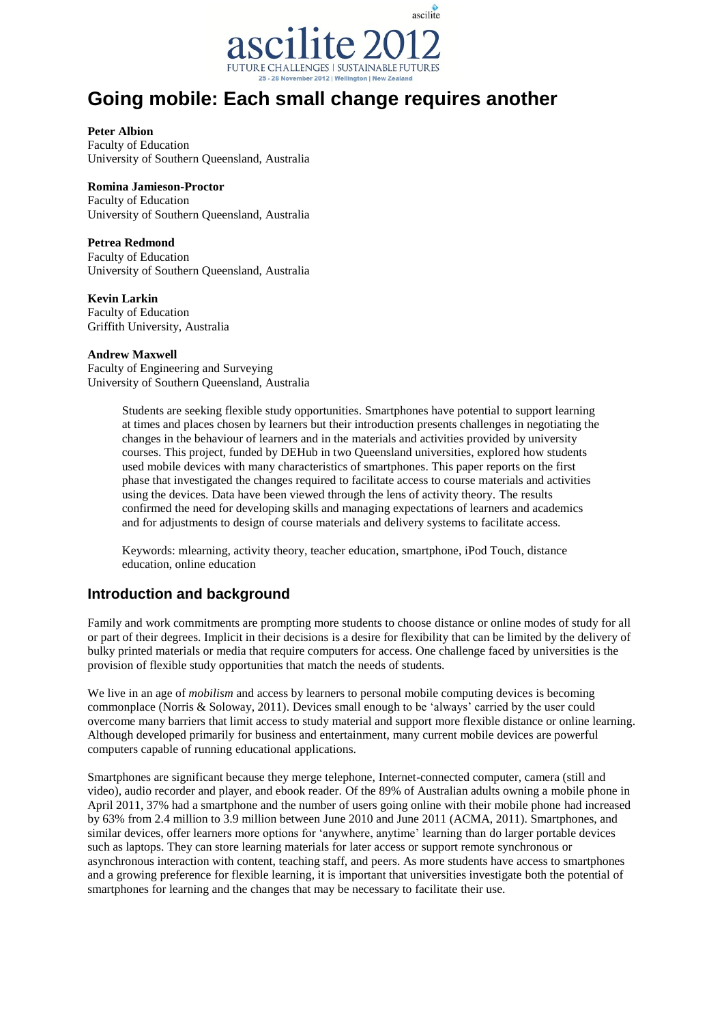

# **Going mobile: Each small change requires another**

#### **Peter Albion**

Faculty of Education University of Southern Queensland, Australia

## **Romina Jamieson-Proctor**

Faculty of Education University of Southern Queensland, Australia

## **Petrea Redmond**

Faculty of Education University of Southern Queensland, Australia

## **Kevin Larkin**

Faculty of Education Griffith University, Australia

## **Andrew Maxwell**

Faculty of Engineering and Surveying University of Southern Queensland, Australia

> Students are seeking flexible study opportunities. Smartphones have potential to support learning at times and places chosen by learners but their introduction presents challenges in negotiating the changes in the behaviour of learners and in the materials and activities provided by university courses. This project, funded by DEHub in two Queensland universities, explored how students used mobile devices with many characteristics of smartphones. This paper reports on the first phase that investigated the changes required to facilitate access to course materials and activities using the devices. Data have been viewed through the lens of activity theory. The results confirmed the need for developing skills and managing expectations of learners and academics and for adjustments to design of course materials and delivery systems to facilitate access.

Keywords: mlearning, activity theory, teacher education, smartphone, iPod Touch, distance education, online education

# **Introduction and background**

Family and work commitments are prompting more students to choose distance or online modes of study for all or part of their degrees. Implicit in their decisions is a desire for flexibility that can be limited by the delivery of bulky printed materials or media that require computers for access. One challenge faced by universities is the provision of flexible study opportunities that match the needs of students.

We live in an age of *mobilism* and access by learners to personal mobile computing devices is becoming commonplace (Norris & Soloway, 2011). Devices small enough to be "always" carried by the user could overcome many barriers that limit access to study material and support more flexible distance or online learning. Although developed primarily for business and entertainment, many current mobile devices are powerful computers capable of running educational applications.

Smartphones are significant because they merge telephone, Internet-connected computer, camera (still and video), audio recorder and player, and ebook reader. Of the 89% of Australian adults owning a mobile phone in April 2011, 37% had a smartphone and the number of users going online with their mobile phone had increased by 63% from 2.4 million to 3.9 million between June 2010 and June 2011 (ACMA, 2011). Smartphones, and similar devices, offer learners more options for "anywhere, anytime" learning than do larger portable devices such as laptops. They can store learning materials for later access or support remote synchronous or asynchronous interaction with content, teaching staff, and peers. As more students have access to smartphones and a growing preference for flexible learning, it is important that universities investigate both the potential of smartphones for learning and the changes that may be necessary to facilitate their use.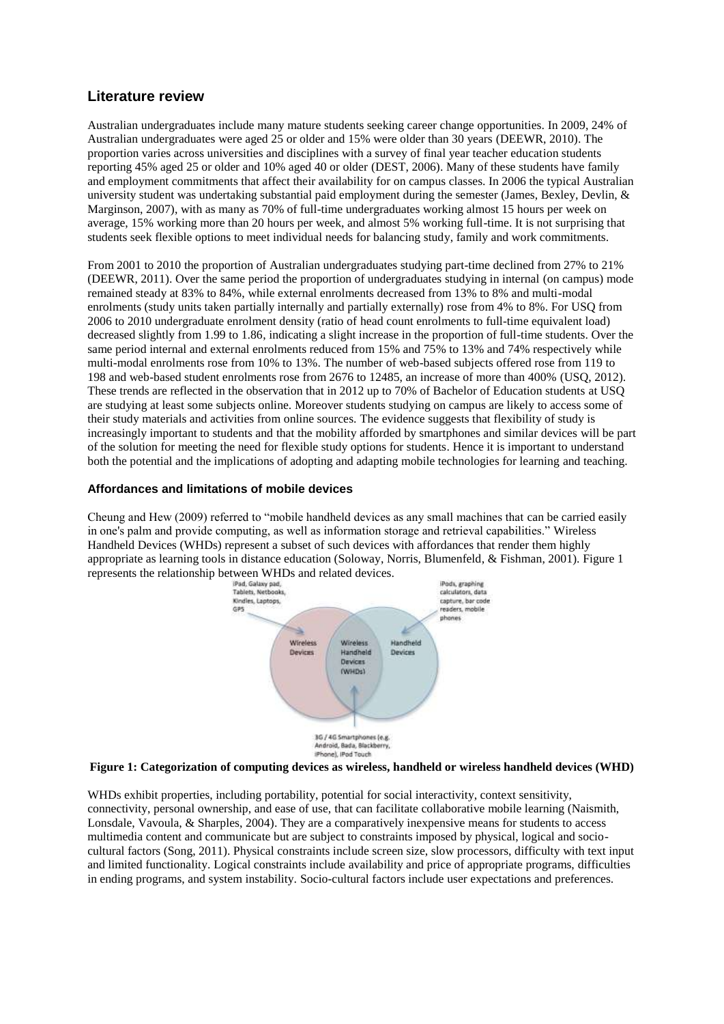# **Literature review**

Australian undergraduates include many mature students seeking career change opportunities. In 2009, 24% of Australian undergraduates were aged 25 or older and 15% were older than 30 years (DEEWR, 2010). The proportion varies across universities and disciplines with a survey of final year teacher education students reporting 45% aged 25 or older and 10% aged 40 or older (DEST, 2006). Many of these students have family and employment commitments that affect their availability for on campus classes. In 2006 the typical Australian university student was undertaking substantial paid employment during the semester (James, Bexley, Devlin, & Marginson, 2007), with as many as 70% of full-time undergraduates working almost 15 hours per week on average, 15% working more than 20 hours per week, and almost 5% working full-time. It is not surprising that students seek flexible options to meet individual needs for balancing study, family and work commitments.

From 2001 to 2010 the proportion of Australian undergraduates studying part-time declined from 27% to 21% (DEEWR, 2011). Over the same period the proportion of undergraduates studying in internal (on campus) mode remained steady at 83% to 84%, while external enrolments decreased from 13% to 8% and multi-modal enrolments (study units taken partially internally and partially externally) rose from 4% to 8%. For USQ from 2006 to 2010 undergraduate enrolment density (ratio of head count enrolments to full-time equivalent load) decreased slightly from 1.99 to 1.86, indicating a slight increase in the proportion of full-time students. Over the same period internal and external enrolments reduced from 15% and 75% to 13% and 74% respectively while multi-modal enrolments rose from 10% to 13%. The number of web-based subjects offered rose from 119 to 198 and web-based student enrolments rose from 2676 to 12485, an increase of more than 400% (USQ, 2012). These trends are reflected in the observation that in 2012 up to 70% of Bachelor of Education students at USQ are studying at least some subjects online. Moreover students studying on campus are likely to access some of their study materials and activities from online sources. The evidence suggests that flexibility of study is increasingly important to students and that the mobility afforded by smartphones and similar devices will be part of the solution for meeting the need for flexible study options for students. Hence it is important to understand both the potential and the implications of adopting and adapting mobile technologies for learning and teaching.

## **Affordances and limitations of mobile devices**

Cheung and Hew (2009) referred to "mobile handheld devices as any small machines that can be carried easily in one's palm and provide computing, as well as information storage and retrieval capabilities." Wireless Handheld Devices (WHDs) represent a subset of such devices with affordances that render them highly appropriate as learning tools in distance education (Soloway, Norris, Blumenfeld, & Fishman, 2001). Figure 1



#### **Figure 1: Categorization of computing devices as wireless, handheld or wireless handheld devices (WHD)**

WHDs exhibit properties, including portability, potential for social interactivity, context sensitivity, connectivity, personal ownership, and ease of use, that can facilitate collaborative mobile learning (Naismith, Lonsdale, Vavoula, & Sharples, 2004). They are a comparatively inexpensive means for students to access multimedia content and communicate but are subject to constraints imposed by physical, logical and sociocultural factors (Song, 2011). Physical constraints include screen size, slow processors, difficulty with text input and limited functionality. Logical constraints include availability and price of appropriate programs, difficulties in ending programs, and system instability. Socio-cultural factors include user expectations and preferences.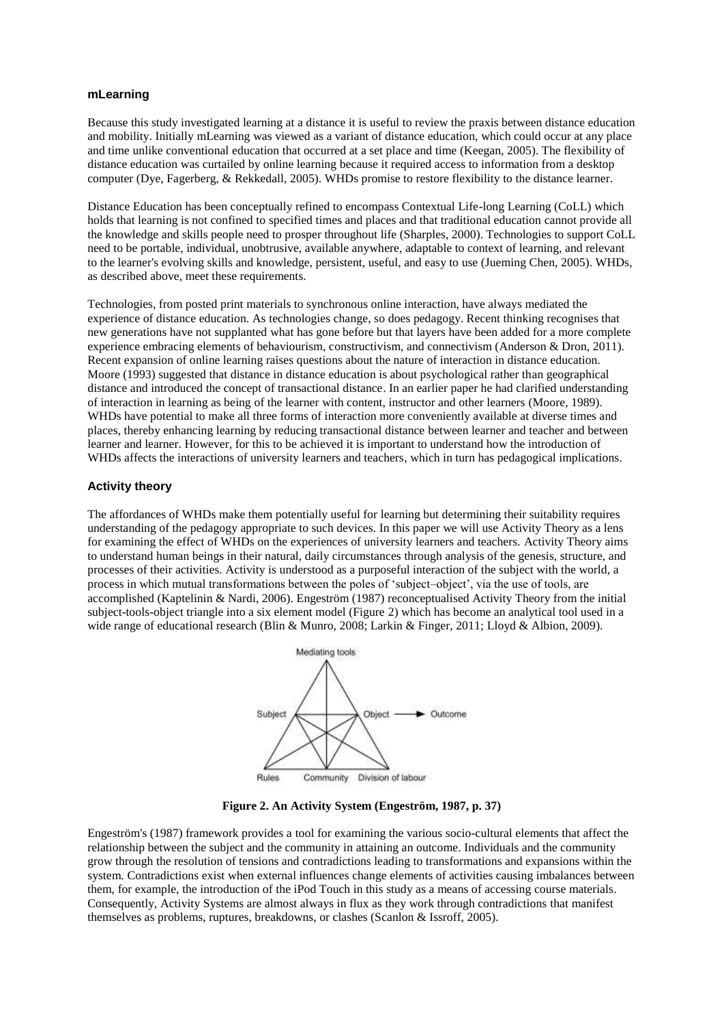#### **mLearning**

Because this study investigated learning at a distance it is useful to review the praxis between distance education and mobility. Initially mLearning was viewed as a variant of distance education, which could occur at any place and time unlike conventional education that occurred at a set place and time (Keegan, 2005). The flexibility of distance education was curtailed by online learning because it required access to information from a desktop computer (Dye, Fagerberg, & Rekkedall, 2005). WHDs promise to restore flexibility to the distance learner.

Distance Education has been conceptually refined to encompass Contextual Life-long Learning (CoLL) which holds that learning is not confined to specified times and places and that traditional education cannot provide all the knowledge and skills people need to prosper throughout life (Sharples, 2000). Technologies to support CoLL need to be portable, individual, unobtrusive, available anywhere, adaptable to context of learning, and relevant to the learner's evolving skills and knowledge, persistent, useful, and easy to use (Jueming Chen, 2005). WHDs, as described above, meet these requirements.

Technologies, from posted print materials to synchronous online interaction, have always mediated the experience of distance education. As technologies change, so does pedagogy. Recent thinking recognises that new generations have not supplanted what has gone before but that layers have been added for a more complete experience embracing elements of behaviourism, constructivism, and connectivism (Anderson & Dron, 2011). Recent expansion of online learning raises questions about the nature of interaction in distance education. Moore (1993) suggested that distance in distance education is about psychological rather than geographical distance and introduced the concept of transactional distance. In an earlier paper he had clarified understanding of interaction in learning as being of the learner with content, instructor and other learners (Moore, 1989). WHDs have potential to make all three forms of interaction more conveniently available at diverse times and places, thereby enhancing learning by reducing transactional distance between learner and teacher and between learner and learner. However, for this to be achieved it is important to understand how the introduction of WHDs affects the interactions of university learners and teachers, which in turn has pedagogical implications.

#### **Activity theory**

The affordances of WHDs make them potentially useful for learning but determining their suitability requires understanding of the pedagogy appropriate to such devices. In this paper we will use Activity Theory as a lens for examining the effect of WHDs on the experiences of university learners and teachers. Activity Theory aims to understand human beings in their natural, daily circumstances through analysis of the genesis, structure, and processes of their activities. Activity is understood as a purposeful interaction of the subject with the world, a process in which mutual transformations between the poles of "subject–object", via the use of tools, are accomplished (Kaptelinin & Nardi, 2006). Engeström (1987) reconceptualised Activity Theory from the initial subject-tools-object triangle into a six element model (Figure 2) which has become an analytical tool used in a wide range of educational research (Blin & Munro, 2008; Larkin & Finger, 2011; Lloyd & Albion, 2009).



**Figure 2. An Activity System (Engeström, 1987, p. 37)**

Engeström's (1987) framework provides a tool for examining the various socio-cultural elements that affect the relationship between the subject and the community in attaining an outcome. Individuals and the community grow through the resolution of tensions and contradictions leading to transformations and expansions within the system. Contradictions exist when external influences change elements of activities causing imbalances between them, for example, the introduction of the iPod Touch in this study as a means of accessing course materials. Consequently, Activity Systems are almost always in flux as they work through contradictions that manifest themselves as problems, ruptures, breakdowns, or clashes (Scanlon & Issroff, 2005).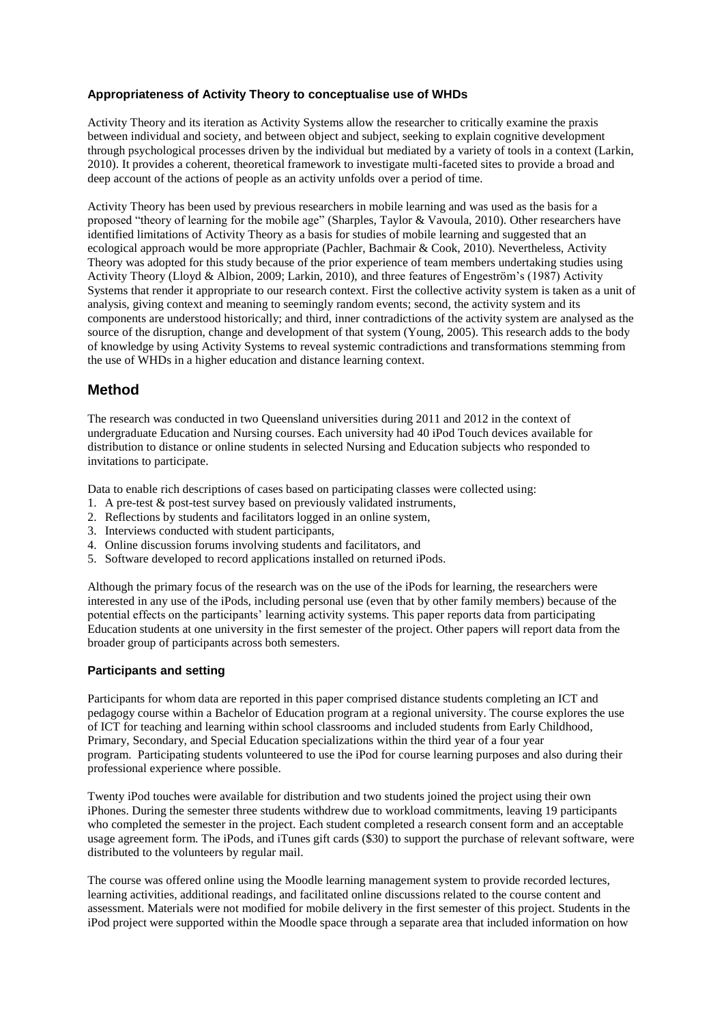## **Appropriateness of Activity Theory to conceptualise use of WHDs**

Activity Theory and its iteration as Activity Systems allow the researcher to critically examine the praxis between individual and society, and between object and subject, seeking to explain cognitive development through psychological processes driven by the individual but mediated by a variety of tools in a context (Larkin, 2010). It provides a coherent, theoretical framework to investigate multi-faceted sites to provide a broad and deep account of the actions of people as an activity unfolds over a period of time.

Activity Theory has been used by previous researchers in mobile learning and was used as the basis for a proposed "theory of learning for the mobile age" (Sharples, Taylor & Vavoula, 2010). Other researchers have identified limitations of Activity Theory as a basis for studies of mobile learning and suggested that an ecological approach would be more appropriate (Pachler, Bachmair & Cook, 2010). Nevertheless, Activity Theory was adopted for this study because of the prior experience of team members undertaking studies using Activity Theory (Lloyd & Albion, 2009; Larkin, 2010), and three features of Engeström"s (1987) Activity Systems that render it appropriate to our research context. First the collective activity system is taken as a unit of analysis, giving context and meaning to seemingly random events; second, the activity system and its components are understood historically; and third, inner contradictions of the activity system are analysed as the source of the disruption, change and development of that system (Young, 2005). This research adds to the body of knowledge by using Activity Systems to reveal systemic contradictions and transformations stemming from the use of WHDs in a higher education and distance learning context.

# **Method**

The research was conducted in two Queensland universities during 2011 and 2012 in the context of undergraduate Education and Nursing courses. Each university had 40 iPod Touch devices available for distribution to distance or online students in selected Nursing and Education subjects who responded to invitations to participate.

Data to enable rich descriptions of cases based on participating classes were collected using:

- 1. A pre-test & post-test survey based on previously validated instruments,
- 2. Reflections by students and facilitators logged in an online system,
- 3. Interviews conducted with student participants,
- 4. Online discussion forums involving students and facilitators, and
- 5. Software developed to record applications installed on returned iPods.

Although the primary focus of the research was on the use of the iPods for learning, the researchers were interested in any use of the iPods, including personal use (even that by other family members) because of the potential effects on the participants" learning activity systems. This paper reports data from participating Education students at one university in the first semester of the project. Other papers will report data from the broader group of participants across both semesters.

#### **Participants and setting**

Participants for whom data are reported in this paper comprised distance students completing an ICT and pedagogy course within a Bachelor of Education program at a regional university. The course explores the use of ICT for teaching and learning within school classrooms and included students from Early Childhood, Primary, Secondary, and Special Education specializations within the third year of a four year program. Participating students volunteered to use the iPod for course learning purposes and also during their professional experience where possible.

Twenty iPod touches were available for distribution and two students joined the project using their own iPhones. During the semester three students withdrew due to workload commitments, leaving 19 participants who completed the semester in the project. Each student completed a research consent form and an acceptable usage agreement form. The iPods, and iTunes gift cards (\$30) to support the purchase of relevant software, were distributed to the volunteers by regular mail.

The course was offered online using the Moodle learning management system to provide recorded lectures, learning activities, additional readings, and facilitated online discussions related to the course content and assessment. Materials were not modified for mobile delivery in the first semester of this project. Students in the iPod project were supported within the Moodle space through a separate area that included information on how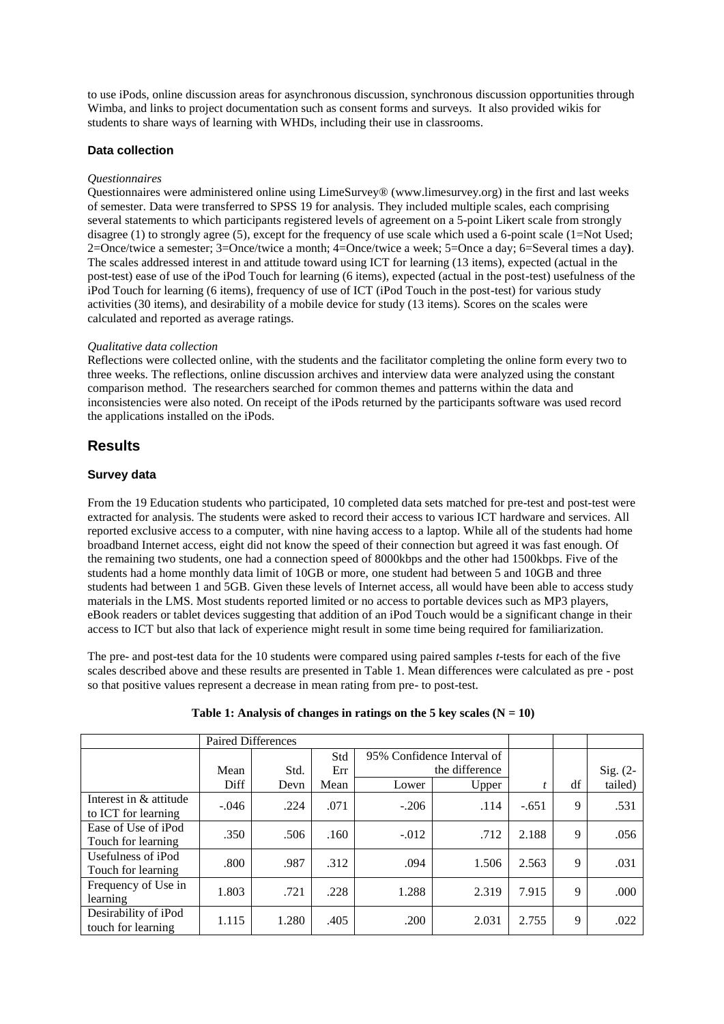to use iPods, online discussion areas for asynchronous discussion, synchronous discussion opportunities through Wimba, and links to project documentation such as consent forms and surveys. It also provided wikis for students to share ways of learning with WHDs, including their use in classrooms.

## **Data collection**

## *Questionnaires*

Questionnaires were administered online using LimeSurvey® (www.limesurvey.org) in the first and last weeks of semester. Data were transferred to SPSS 19 for analysis. They included multiple scales, each comprising several statements to which participants registered levels of agreement on a 5-point Likert scale from strongly disagree (1) to strongly agree (5), except for the frequency of use scale which used a 6-point scale (1=Not Used; 2=Once/twice a semester; 3=Once/twice a month; 4=Once/twice a week; 5=Once a day; 6=Several times a day**)**. The scales addressed interest in and attitude toward using ICT for learning (13 items), expected (actual in the post-test) ease of use of the iPod Touch for learning (6 items), expected (actual in the post-test) usefulness of the iPod Touch for learning (6 items), frequency of use of ICT (iPod Touch in the post-test) for various study activities (30 items), and desirability of a mobile device for study (13 items). Scores on the scales were calculated and reported as average ratings.

#### *Qualitative data collection*

Reflections were collected online, with the students and the facilitator completing the online form every two to three weeks. The reflections, online discussion archives and interview data were analyzed using the constant comparison method. The researchers searched for common themes and patterns within the data and inconsistencies were also noted. On receipt of the iPods returned by the participants software was used record the applications installed on the iPods.

# **Results**

#### **Survey data**

From the 19 Education students who participated, 10 completed data sets matched for pre-test and post-test were extracted for analysis. The students were asked to record their access to various ICT hardware and services. All reported exclusive access to a computer, with nine having access to a laptop. While all of the students had home broadband Internet access, eight did not know the speed of their connection but agreed it was fast enough. Of the remaining two students, one had a connection speed of 8000kbps and the other had 1500kbps. Five of the students had a home monthly data limit of 10GB or more, one student had between 5 and 10GB and three students had between 1 and 5GB. Given these levels of Internet access, all would have been able to access study materials in the LMS. Most students reported limited or no access to portable devices such as MP3 players, eBook readers or tablet devices suggesting that addition of an iPod Touch would be a significant change in their access to ICT but also that lack of experience might result in some time being required for familiarization.

The pre- and post-test data for the 10 students were compared using paired samples *t*-tests for each of the five scales described above and these results are presented in Table 1. Mean differences were calculated as pre - post so that positive values represent a decrease in mean rating from pre- to post-test.

|                                               | <b>Paired Differences</b> |       |      |                                              |              |         |    |            |
|-----------------------------------------------|---------------------------|-------|------|----------------------------------------------|--------------|---------|----|------------|
|                                               |                           |       | Std  | 95% Confidence Interval of<br>the difference |              |         |    |            |
|                                               | Mean                      | Std.  | Err  |                                              |              |         |    | Sig. $(2-$ |
|                                               | Diff                      | Devn  | Mean | Lower                                        | <b>Upper</b> |         | df | tailed)    |
| Interest in & attitude<br>to ICT for learning | $-.046$                   | .224  | .071 | $-.206$                                      | .114         | $-.651$ | 9  | .531       |
| Ease of Use of iPod<br>Touch for learning     | .350                      | .506  | .160 | $-.012$                                      | .712         | 2.188   | 9  | .056       |
| Usefulness of iPod<br>Touch for learning      | .800                      | .987  | .312 | .094                                         | 1.506        | 2.563   | 9  | .031       |
| Frequency of Use in<br>learning               | 1.803                     | .721  | .228 | 1.288                                        | 2.319        | 7.915   | 9  | .000       |
| Desirability of iPod<br>touch for learning    | 1.115                     | 1.280 | .405 | .200                                         | 2.031        | 2.755   | 9  | .022       |

#### Table 1: Analysis of changes in ratings on the 5 key scales  $(N = 10)$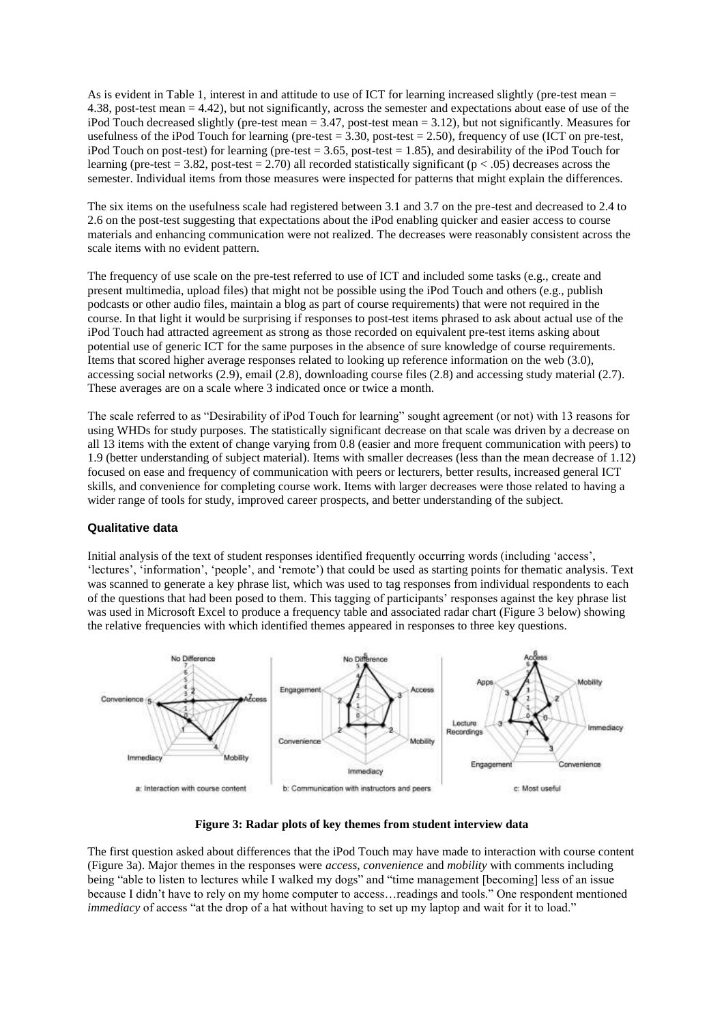As is evident in Table 1, interest in and attitude to use of ICT for learning increased slightly (pre-test mean = 4.38, post-test mean = 4.42), but not significantly, across the semester and expectations about ease of use of the iPod Touch decreased slightly (pre-test mean  $= 3.47$ , post-test mean  $= 3.12$ ), but not significantly. Measures for usefulness of the iPod Touch for learning (pre-test =  $3.30$ , post-test =  $2.50$ ), frequency of use (ICT on pre-test, iPod Touch on post-test) for learning (pre-test  $= 3.65$ , post-test  $= 1.85$ ), and desirability of the iPod Touch for learning (pre-test = 3.82, post-test = 2.70) all recorded statistically significant ( $p < .05$ ) decreases across the semester. Individual items from those measures were inspected for patterns that might explain the differences.

The six items on the usefulness scale had registered between 3.1 and 3.7 on the pre-test and decreased to 2.4 to 2.6 on the post-test suggesting that expectations about the iPod enabling quicker and easier access to course materials and enhancing communication were not realized. The decreases were reasonably consistent across the scale items with no evident pattern.

The frequency of use scale on the pre-test referred to use of ICT and included some tasks (e.g., create and present multimedia, upload files) that might not be possible using the iPod Touch and others (e.g., publish podcasts or other audio files, maintain a blog as part of course requirements) that were not required in the course. In that light it would be surprising if responses to post-test items phrased to ask about actual use of the iPod Touch had attracted agreement as strong as those recorded on equivalent pre-test items asking about potential use of generic ICT for the same purposes in the absence of sure knowledge of course requirements. Items that scored higher average responses related to looking up reference information on the web (3.0), accessing social networks (2.9), email (2.8), downloading course files (2.8) and accessing study material (2.7). These averages are on a scale where 3 indicated once or twice a month.

The scale referred to as "Desirability of iPod Touch for learning" sought agreement (or not) with 13 reasons for using WHDs for study purposes. The statistically significant decrease on that scale was driven by a decrease on all 13 items with the extent of change varying from 0.8 (easier and more frequent communication with peers) to 1.9 (better understanding of subject material). Items with smaller decreases (less than the mean decrease of 1.12) focused on ease and frequency of communication with peers or lecturers, better results, increased general ICT skills, and convenience for completing course work. Items with larger decreases were those related to having a wider range of tools for study, improved career prospects, and better understanding of the subject.

#### **Qualitative data**

Initial analysis of the text of student responses identified frequently occurring words (including "access", "lectures", "information", "people", and "remote") that could be used as starting points for thematic analysis. Text was scanned to generate a key phrase list, which was used to tag responses from individual respondents to each of the questions that had been posed to them. This tagging of participants" responses against the key phrase list was used in Microsoft Excel to produce a frequency table and associated radar chart (Figure 3 below) showing the relative frequencies with which identified themes appeared in responses to three key questions.



**Figure 3: Radar plots of key themes from student interview data**

The first question asked about differences that the iPod Touch may have made to interaction with course content (Figure 3a). Major themes in the responses were *access*, *convenience* and *mobility* with comments including being "able to listen to lectures while I walked my dogs" and "time management [becoming] less of an issue because I didn"t have to rely on my home computer to access…readings and tools." One respondent mentioned *immediacy* of access "at the drop of a hat without having to set up my laptop and wait for it to load."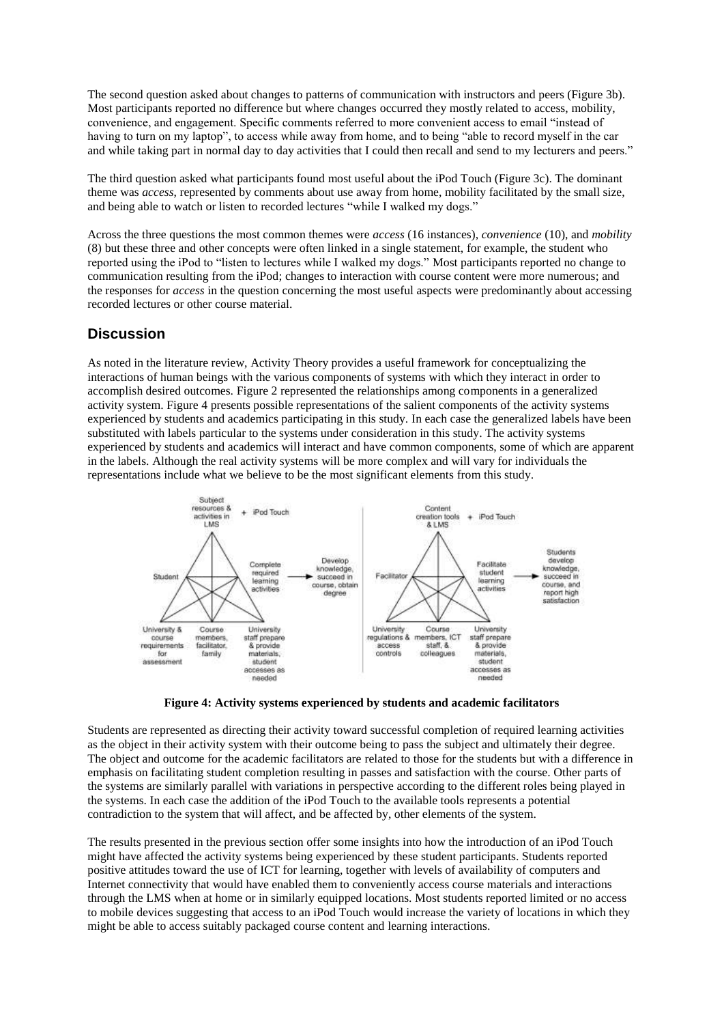The second question asked about changes to patterns of communication with instructors and peers (Figure 3b). Most participants reported no difference but where changes occurred they mostly related to access, mobility, convenience, and engagement. Specific comments referred to more convenient access to email "instead of having to turn on my laptop", to access while away from home, and to being "able to record myself in the car and while taking part in normal day to day activities that I could then recall and send to my lecturers and peers."

The third question asked what participants found most useful about the iPod Touch (Figure 3c). The dominant theme was *access*, represented by comments about use away from home, mobility facilitated by the small size, and being able to watch or listen to recorded lectures "while I walked my dogs."

Across the three questions the most common themes were *access* (16 instances), *convenience* (10), and *mobility* (8) but these three and other concepts were often linked in a single statement, for example, the student who reported using the iPod to "listen to lectures while I walked my dogs." Most participants reported no change to communication resulting from the iPod; changes to interaction with course content were more numerous; and the responses for *access* in the question concerning the most useful aspects were predominantly about accessing recorded lectures or other course material.

# **Discussion**

As noted in the literature review, Activity Theory provides a useful framework for conceptualizing the interactions of human beings with the various components of systems with which they interact in order to accomplish desired outcomes. Figure 2 represented the relationships among components in a generalized activity system. Figure 4 presents possible representations of the salient components of the activity systems experienced by students and academics participating in this study. In each case the generalized labels have been substituted with labels particular to the systems under consideration in this study. The activity systems experienced by students and academics will interact and have common components, some of which are apparent in the labels. Although the real activity systems will be more complex and will vary for individuals the representations include what we believe to be the most significant elements from this study.



**Figure 4: Activity systems experienced by students and academic facilitators**

Students are represented as directing their activity toward successful completion of required learning activities as the object in their activity system with their outcome being to pass the subject and ultimately their degree. The object and outcome for the academic facilitators are related to those for the students but with a difference in emphasis on facilitating student completion resulting in passes and satisfaction with the course. Other parts of the systems are similarly parallel with variations in perspective according to the different roles being played in the systems. In each case the addition of the iPod Touch to the available tools represents a potential contradiction to the system that will affect, and be affected by, other elements of the system.

The results presented in the previous section offer some insights into how the introduction of an iPod Touch might have affected the activity systems being experienced by these student participants. Students reported positive attitudes toward the use of ICT for learning, together with levels of availability of computers and Internet connectivity that would have enabled them to conveniently access course materials and interactions through the LMS when at home or in similarly equipped locations. Most students reported limited or no access to mobile devices suggesting that access to an iPod Touch would increase the variety of locations in which they might be able to access suitably packaged course content and learning interactions.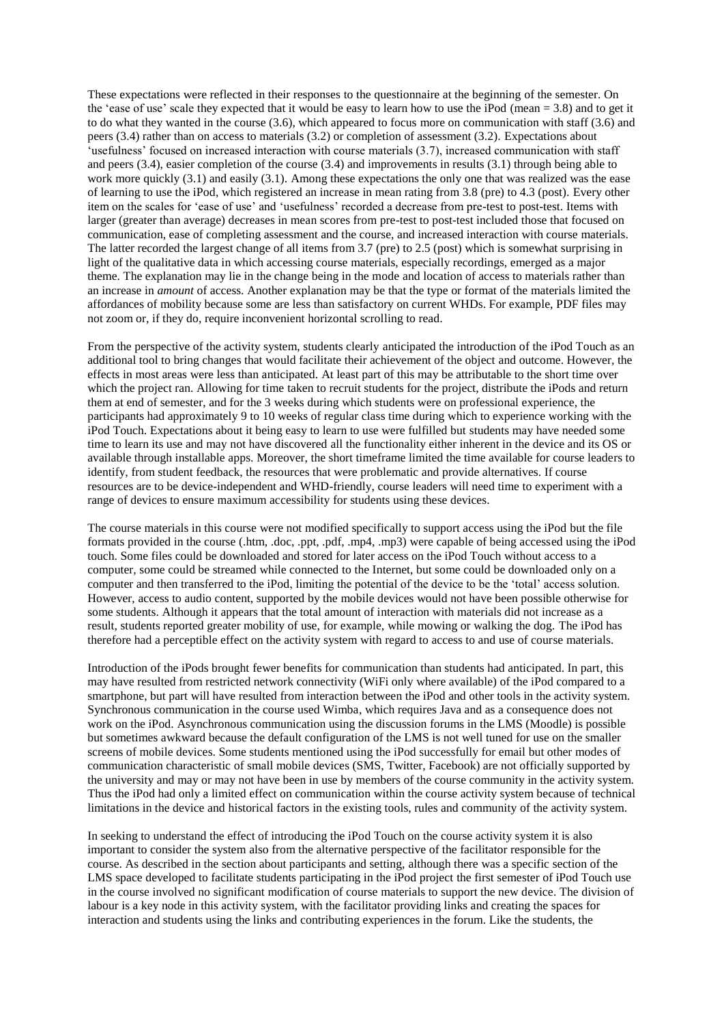These expectations were reflected in their responses to the questionnaire at the beginning of the semester. On the 'ease of use' scale they expected that it would be easy to learn how to use the iPod (mean = 3.8) and to get it to do what they wanted in the course (3.6), which appeared to focus more on communication with staff (3.6) and peers (3.4) rather than on access to materials (3.2) or completion of assessment (3.2). Expectations about 'usefulness' focused on increased interaction with course materials (3.7), increased communication with staff and peers (3.4), easier completion of the course (3.4) and improvements in results (3.1) through being able to work more quickly (3.1) and easily (3.1). Among these expectations the only one that was realized was the ease of learning to use the iPod, which registered an increase in mean rating from 3.8 (pre) to 4.3 (post). Every other item on the scales for 'ease of use' and 'usefulness' recorded a decrease from pre-test to post-test. Items with larger (greater than average) decreases in mean scores from pre-test to post-test included those that focused on communication, ease of completing assessment and the course, and increased interaction with course materials. The latter recorded the largest change of all items from 3.7 (pre) to 2.5 (post) which is somewhat surprising in light of the qualitative data in which accessing course materials, especially recordings, emerged as a major theme. The explanation may lie in the change being in the mode and location of access to materials rather than an increase in *amount* of access. Another explanation may be that the type or format of the materials limited the affordances of mobility because some are less than satisfactory on current WHDs. For example, PDF files may not zoom or, if they do, require inconvenient horizontal scrolling to read.

From the perspective of the activity system, students clearly anticipated the introduction of the iPod Touch as an additional tool to bring changes that would facilitate their achievement of the object and outcome. However, the effects in most areas were less than anticipated. At least part of this may be attributable to the short time over which the project ran. Allowing for time taken to recruit students for the project, distribute the iPods and return them at end of semester, and for the 3 weeks during which students were on professional experience, the participants had approximately 9 to 10 weeks of regular class time during which to experience working with the iPod Touch. Expectations about it being easy to learn to use were fulfilled but students may have needed some time to learn its use and may not have discovered all the functionality either inherent in the device and its OS or available through installable apps. Moreover, the short timeframe limited the time available for course leaders to identify, from student feedback, the resources that were problematic and provide alternatives. If course resources are to be device-independent and WHD-friendly, course leaders will need time to experiment with a range of devices to ensure maximum accessibility for students using these devices.

The course materials in this course were not modified specifically to support access using the iPod but the file formats provided in the course (.htm, .doc, .ppt, .pdf, .mp4, .mp3) were capable of being accessed using the iPod touch. Some files could be downloaded and stored for later access on the iPod Touch without access to a computer, some could be streamed while connected to the Internet, but some could be downloaded only on a computer and then transferred to the iPod, limiting the potential of the device to be the "total" access solution. However, access to audio content, supported by the mobile devices would not have been possible otherwise for some students. Although it appears that the total amount of interaction with materials did not increase as a result, students reported greater mobility of use, for example, while mowing or walking the dog. The iPod has therefore had a perceptible effect on the activity system with regard to access to and use of course materials.

Introduction of the iPods brought fewer benefits for communication than students had anticipated. In part, this may have resulted from restricted network connectivity (WiFi only where available) of the iPod compared to a smartphone, but part will have resulted from interaction between the iPod and other tools in the activity system. Synchronous communication in the course used Wimba, which requires Java and as a consequence does not work on the iPod. Asynchronous communication using the discussion forums in the LMS (Moodle) is possible but sometimes awkward because the default configuration of the LMS is not well tuned for use on the smaller screens of mobile devices. Some students mentioned using the iPod successfully for email but other modes of communication characteristic of small mobile devices (SMS, Twitter, Facebook) are not officially supported by the university and may or may not have been in use by members of the course community in the activity system. Thus the iPod had only a limited effect on communication within the course activity system because of technical limitations in the device and historical factors in the existing tools, rules and community of the activity system.

In seeking to understand the effect of introducing the iPod Touch on the course activity system it is also important to consider the system also from the alternative perspective of the facilitator responsible for the course. As described in the section about participants and setting, although there was a specific section of the LMS space developed to facilitate students participating in the iPod project the first semester of iPod Touch use in the course involved no significant modification of course materials to support the new device. The division of labour is a key node in this activity system, with the facilitator providing links and creating the spaces for interaction and students using the links and contributing experiences in the forum. Like the students, the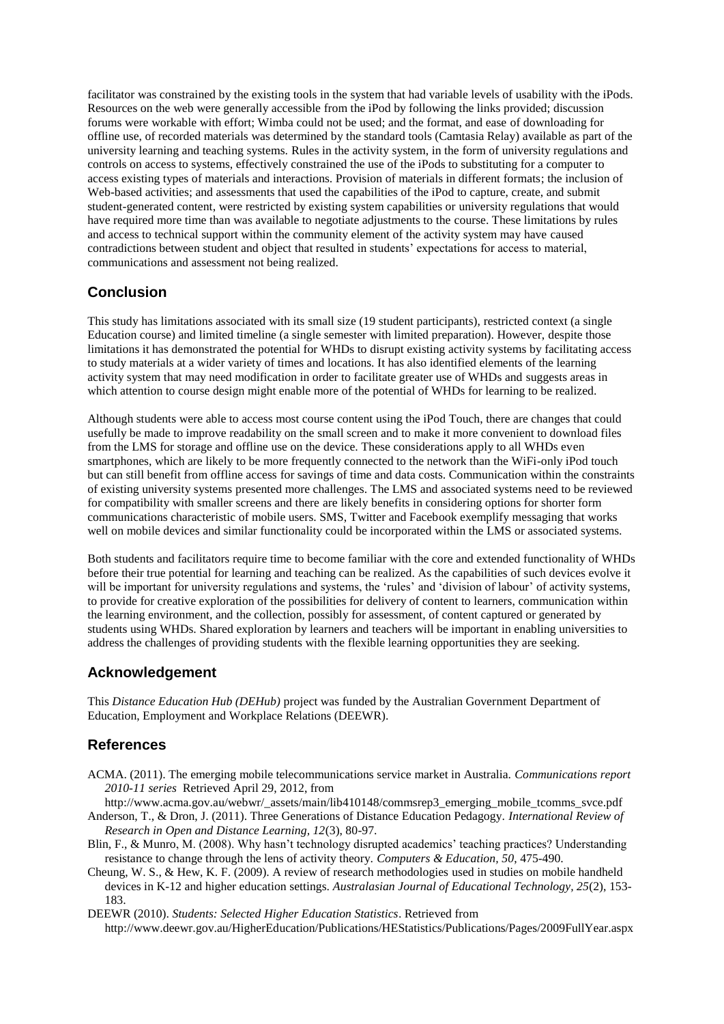facilitator was constrained by the existing tools in the system that had variable levels of usability with the iPods. Resources on the web were generally accessible from the iPod by following the links provided; discussion forums were workable with effort; Wimba could not be used; and the format, and ease of downloading for offline use, of recorded materials was determined by the standard tools (Camtasia Relay) available as part of the university learning and teaching systems. Rules in the activity system, in the form of university regulations and controls on access to systems, effectively constrained the use of the iPods to substituting for a computer to access existing types of materials and interactions. Provision of materials in different formats; the inclusion of Web-based activities; and assessments that used the capabilities of the iPod to capture, create, and submit student-generated content, were restricted by existing system capabilities or university regulations that would have required more time than was available to negotiate adjustments to the course. These limitations by rules and access to technical support within the community element of the activity system may have caused contradictions between student and object that resulted in students" expectations for access to material, communications and assessment not being realized.

# **Conclusion**

This study has limitations associated with its small size (19 student participants), restricted context (a single Education course) and limited timeline (a single semester with limited preparation). However, despite those limitations it has demonstrated the potential for WHDs to disrupt existing activity systems by facilitating access to study materials at a wider variety of times and locations. It has also identified elements of the learning activity system that may need modification in order to facilitate greater use of WHDs and suggests areas in which attention to course design might enable more of the potential of WHDs for learning to be realized.

Although students were able to access most course content using the iPod Touch, there are changes that could usefully be made to improve readability on the small screen and to make it more convenient to download files from the LMS for storage and offline use on the device. These considerations apply to all WHDs even smartphones, which are likely to be more frequently connected to the network than the WiFi-only iPod touch but can still benefit from offline access for savings of time and data costs. Communication within the constraints of existing university systems presented more challenges. The LMS and associated systems need to be reviewed for compatibility with smaller screens and there are likely benefits in considering options for shorter form communications characteristic of mobile users. SMS, Twitter and Facebook exemplify messaging that works well on mobile devices and similar functionality could be incorporated within the LMS or associated systems.

Both students and facilitators require time to become familiar with the core and extended functionality of WHDs before their true potential for learning and teaching can be realized. As the capabilities of such devices evolve it will be important for university regulations and systems, the 'rules' and 'division of labour' of activity systems, to provide for creative exploration of the possibilities for delivery of content to learners, communication within the learning environment, and the collection, possibly for assessment, of content captured or generated by students using WHDs. Shared exploration by learners and teachers will be important in enabling universities to address the challenges of providing students with the flexible learning opportunities they are seeking.

# **Acknowledgement**

This *Distance Education Hub (DEHub)* project was funded by the Australian Government Department of Education, Employment and Workplace Relations (DEEWR).

# **References**

ACMA. (2011). The emerging mobile telecommunications service market in Australia. *Communications report 2010-11 series* Retrieved April 29, 2012, from

http://www.acma.gov.au/webwr/\_assets/main/lib410148/commsrep3\_emerging\_mobile\_tcomms\_svce.pdf Anderson, T., & Dron, J. (2011). Three Generations of Distance Education Pedagogy. *International Review of Research in Open and Distance Learning, 12*(3), 80-97.

- Blin, F., & Munro, M. (2008). Why hasn't technology disrupted academics' teaching practices? Understanding resistance to change through the lens of activity theory. *Computers & Education, 50*, 475-490.
- Cheung, W. S., & Hew, K. F. (2009). A review of research methodologies used in studies on mobile handheld devices in K-12 and higher education settings. *Australasian Journal of Educational Technology, 25*(2), 153- 183.

DEEWR (2010). *Students: Selected Higher Education Statistics*. Retrieved from http://www.deewr.gov.au/HigherEducation/Publications/HEStatistics/Publications/Pages/2009FullYear.aspx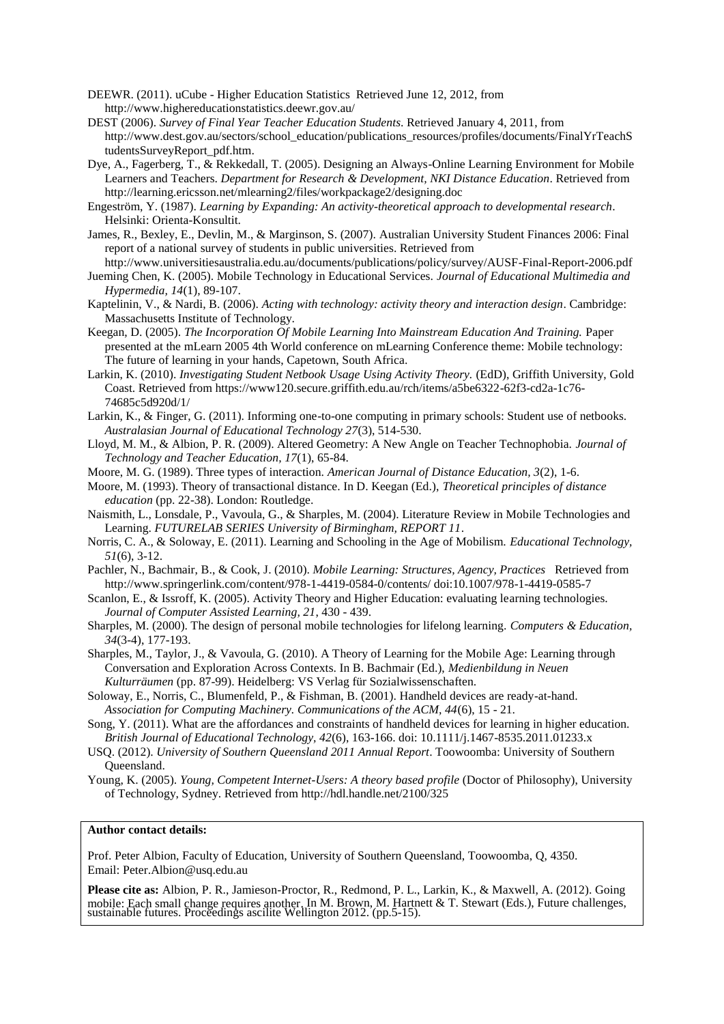DEEWR. (2011). uCube - Higher Education Statistics Retrieved June 12, 2012, from http://www.highereducationstatistics.deewr.gov.au/

- DEST (2006). *Survey of Final Year Teacher Education Students*. Retrieved January 4, 2011, from http://www.dest.gov.au/sectors/school\_education/publications\_resources/profiles/documents/FinalYrTeachS tudentsSurveyReport\_pdf.htm.
- Dye, A., Fagerberg, T., & Rekkedall, T. (2005). Designing an Always-Online Learning Environment for Mobile Learners and Teachers. *Department for Research & Development, NKI Distance Education*. Retrieved from http://learning.ericsson.net/mlearning2/files/workpackage2/designing.doc
- Engeström, Y. (1987). *Learning by Expanding: An activity-theoretical approach to developmental research*. Helsinki: Orienta-Konsultit.
- James, R., Bexley, E., Devlin, M., & Marginson, S. (2007). Australian University Student Finances 2006: Final report of a national survey of students in public universities. Retrieved from
- http://www.universitiesaustralia.edu.au/documents/publications/policy/survey/AUSF-Final-Report-2006.pdf Jueming Chen, K. (2005). Mobile Technology in Educational Services. *Journal of Educational Multimedia and Hypermedia, 14*(1), 89-107.
- Kaptelinin, V., & Nardi, B. (2006). *Acting with technology: activity theory and interaction design*. Cambridge: Massachusetts Institute of Technology.
- Keegan, D. (2005). *The Incorporation Of Mobile Learning Into Mainstream Education And Training.* Paper presented at the mLearn 2005 4th World conference on mLearning Conference theme: Mobile technology: The future of learning in your hands, Capetown, South Africa.
- Larkin, K. (2010). *Investigating Student Netbook Usage Using Activity Theory.* (EdD), Griffith University, Gold Coast. Retrieved from https://www120.secure.griffith.edu.au/rch/items/a5be6322-62f3-cd2a-1c76- 74685c5d920d/1/
- Larkin, K., & Finger, G. (2011). Informing one-to-one computing in primary schools: Student use of netbooks. *Australasian Journal of Educational Technology 27*(3), 514-530.
- Lloyd, M. M., & Albion, P. R. (2009). Altered Geometry: A New Angle on Teacher Technophobia. *Journal of Technology and Teacher Education, 17*(1), 65-84.
- Moore, M. G. (1989). Three types of interaction. *American Journal of Distance Education, 3*(2), 1-6.
- Moore, M. (1993). Theory of transactional distance. In D. Keegan (Ed.), *Theoretical principles of distance education* (pp. 22-38). London: Routledge.
- Naismith, L., Lonsdale, P., Vavoula, G., & Sharples, M. (2004). Literature Review in Mobile Technologies and Learning. *FUTURELAB SERIES University of Birmingham, REPORT 11*.
- Norris, C. A., & Soloway, E. (2011). Learning and Schooling in the Age of Mobilism. *Educational Technology, 51*(6), 3-12.
- Pachler, N., Bachmair, B., & Cook, J. (2010). *Mobile Learning: Structures, Agency, Practices* Retrieved from http://www.springerlink.com/content/978-1-4419-0584-0/contents/ doi:10.1007/978-1-4419-0585-7
- Scanlon, E., & Issroff, K. (2005). Activity Theory and Higher Education: evaluating learning technologies. *Journal of Computer Assisted Learning, 21*, 430 - 439.
- Sharples, M. (2000). The design of personal mobile technologies for lifelong learning. *Computers & Education, 34*(3-4), 177-193.
- Sharples, M., Taylor, J., & Vavoula, G. (2010). A Theory of Learning for the Mobile Age: Learning through Conversation and Exploration Across Contexts. In B. Bachmair (Ed.), *Medienbildung in Neuen Kulturräumen* (pp. 87-99). Heidelberg: VS Verlag für Sozialwissenschaften.
- Soloway, E., Norris, C., Blumenfeld, P., & Fishman, B. (2001). Handheld devices are ready-at-hand. *Association for Computing Machinery. Communications of the ACM, 44*(6), 15 - 21.
- Song, Y. (2011). What are the affordances and constraints of handheld devices for learning in higher education. *British Journal of Educational Technology, 42*(6), 163-166. doi: 10.1111/j.1467-8535.2011.01233.x
- USQ. (2012). *University of Southern Queensland 2011 Annual Report*. Toowoomba: University of Southern Queensland.
- Young, K. (2005). *Young, Competent Internet-Users: A theory based profile* (Doctor of Philosophy), University of Technology, Sydney. Retrieved from http://hdl.handle.net/2100/325

#### **Author contact details:**

Prof. Peter Albion, Faculty of Education, University of Southern Queensland, Toowoomba, Q, 4350. Email: Peter.Albion@usq.edu.au

**Please cite as:** Albion, P. R., Jamieson-Proctor, R., Redmond, P. L., Larkin, K., & Maxwell, A. (2012). Going mobile: Each small change requires another. In M. Brown, M. Hartnett & T. Stewart (Eds.), Future challenges, sustainable futures. Proceedings ascilite Wellington 2012. (pp.5-15).